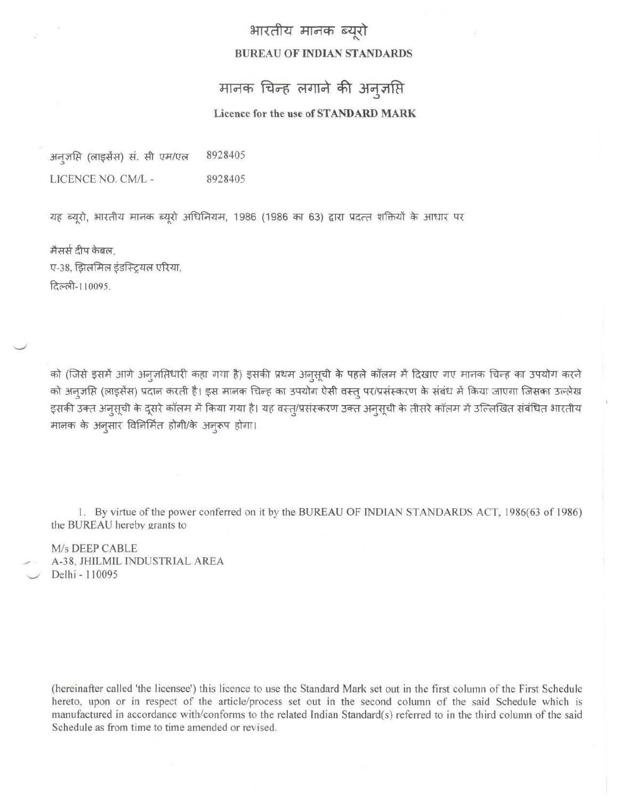## भारतीय मानक ब्युरो **BUREAU OF INDIAN STANDARDS**

## मानक चिन्ह लगाने की अनुज़प्ति

## **Licence for the use of STANDARD MARK**

8928405 अन्**जसि** (लाइसेंस) सं. सी एम/एल LICENCE NO. CM/L - 8928405

यह ब्यूरो, भारतीय मानक ब्यूरो अधिनियम, 1986 (1986 का 63) द्वारा प्रदत्त शक्तियों के आधार पर

मैसर्स दीप केबल. ए-38, झिलमिल इंडस्ट्रियल एरिया, दिल्ली-110095.

को (जिसे इसमें आगे अन्ज़रिधारी कहा गया है) इसकी प्रथम अनुसूची के पहले कॉलम में दिखाए गए मानक चिन्ह का उपयोग करने को अनूजप्ति (लाइसेंस) प्रदान करती है। इस मानक चिन्ह का उपयोग ऐसी वस्तु पर/प्रसंस्करण के संबंध में किया जाएगा जिसका उल्लेख इसकी उक्त अन्सूची के दूसरे कॉलम में किया गया है। यह वस्त्/प्रसंस्करण उक्त अन्सूची के तीसरे कॉलम में उल्लिखित संबंधित भारतीय मानक के अनुसार विनिर्मित होगी/के अनुरूप होगा।

1. By virtue of the power conferred on it by the BUREAU OF INDIAN STANDARDS ACT, 1986(63 of 1986) the BUREAU hereby grants to

M/s DEEP CABLE A-38, JHILMIL INDUSTRIAL AREA Delhi-110095

(hereinafter called 'the licensee') this licence to use the Standard Mark set out in the first column of the First Schedule hereto, upon or in respect of the article/process set out in the second column of the said Schedule which is manufactured in accordance with/conforms to the related Indian Standard(s) referred to in the third column of the said Schedule as from time to time amended or revised.